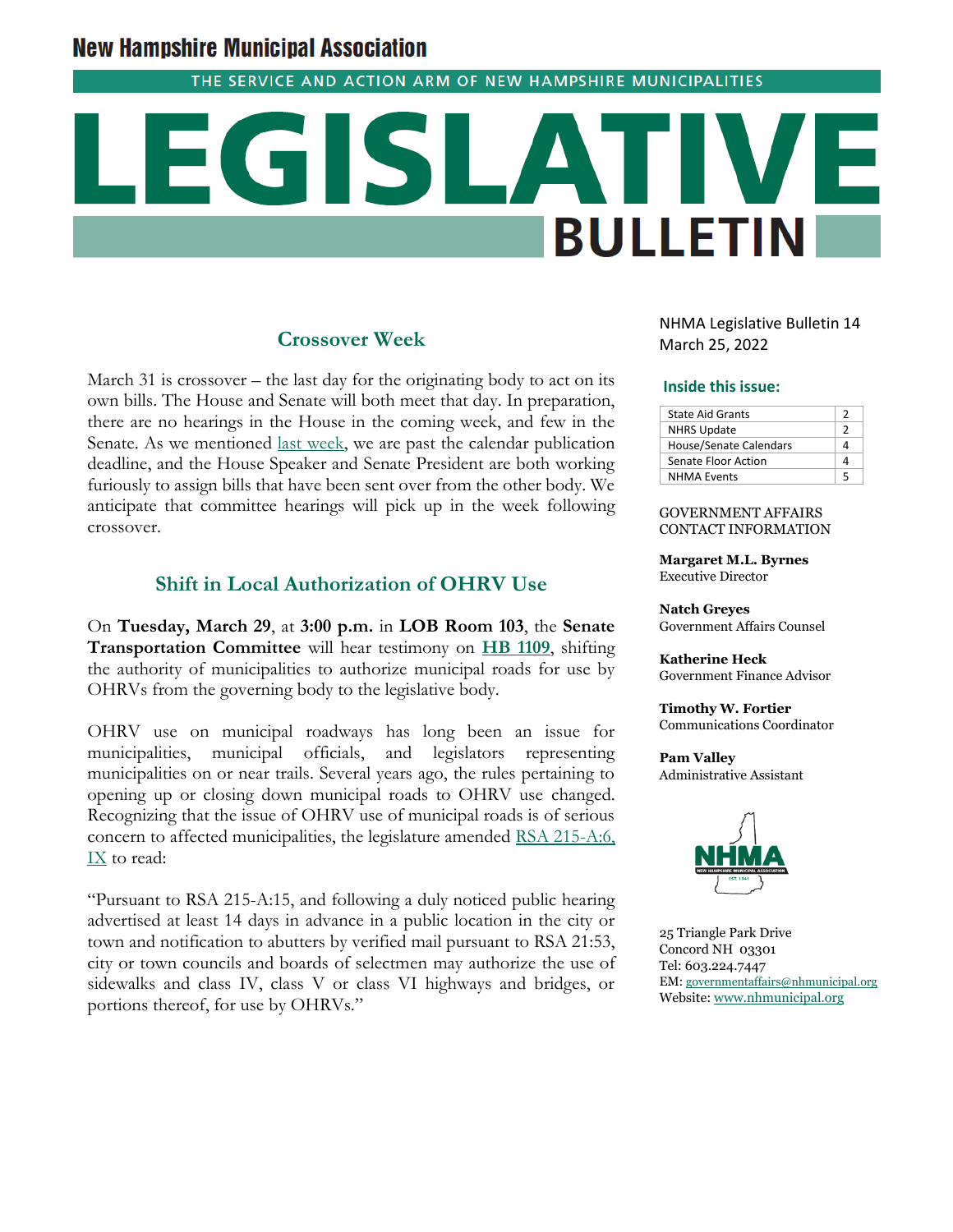# **New Hampshire Municipal Association**

THE SERVICE AND ACTION ARM OF NEW HAMPSHIRE MUNICIPALITIES

# **BULLETIN**

# **Crossover Week**

March 31 is crossover – the last day for the originating body to act on its own bills. The House and Senate will both meet that day. In preparation, there are no hearings in the House in the coming week, and few in the Senate. As we mentioned [last week,](https://www.nhmunicipal.org/legislative-bulletin/2022-nhma-legislative-bulletin-13) we are past the calendar publication deadline, and the House Speaker and Senate President are both working furiously to assign bills that have been sent over from the other body. We anticipate that committee hearings will pick up in the week following crossover.

# **Shift in Local Authorization of OHRV Use**

On **Tuesday, March 29**, at **3:00 p.m.** in **LOB Room 103**, the **Senate Transportation Committee** will hear testimony on **[HB 1109](http://www.gencourt.state.nh.us/bill_Status/pdf.aspx?id=32066&q=amendment)**, shifting the authority of municipalities to authorize municipal roads for use by OHRVs from the governing body to the legislative body.

OHRV use on municipal roadways has long been an issue for municipalities, municipal officials, and legislators representing municipalities on or near trails. Several years ago, the rules pertaining to opening up or closing down municipal roads to OHRV use changed. Recognizing that the issue of OHRV use of municipal roads is of serious concern to affected municipalities, the legislature amended [RSA 215-A:6,](https://www.gencourt.state.nh.us/rsa/html/xviii/215-a/215-a-6.htm)  [IX](https://www.gencourt.state.nh.us/rsa/html/xviii/215-a/215-a-6.htm) to read:

"Pursuant to RSA 215-A:15, and following a duly noticed public hearing advertised at least 14 days in advance in a public location in the city or town and notification to abutters by verified mail pursuant to RSA 21:53, city or town councils and boards of selectmen may authorize the use of sidewalks and class IV, class V or class VI highways and bridges, or portions thereof, for use by OHRVs."

NHMA Legislative Bulletin 14 March 25, 2022

#### **Inside this issue:**

| <b>State Aid Grants</b> |   |
|-------------------------|---|
| <b>NHRS Update</b>      |   |
| House/Senate Calendars  |   |
| Senate Floor Action     |   |
| <b>NHMA Events</b>      | ς |

#### GOVERNMENT AFFAIRS CONTACT INFORMATION

**Margaret M.L. Byrnes** Executive Director

**Natch Greyes** Government Affairs Counsel

**Katherine Heck** Government Finance Advisor

**Timothy W. Fortier** Communications Coordinator

**Pam Valley** Administrative Assistant



25 Triangle Park Drive Concord NH 03301 Tel: 603.224.7447 EM: [governmentaffairs@nhmunicipal.org](mailto:governmentaffairs@nhmunicipal.org) Website: [www.nhmunicipal.org](http://www.nhmunicipal.org/)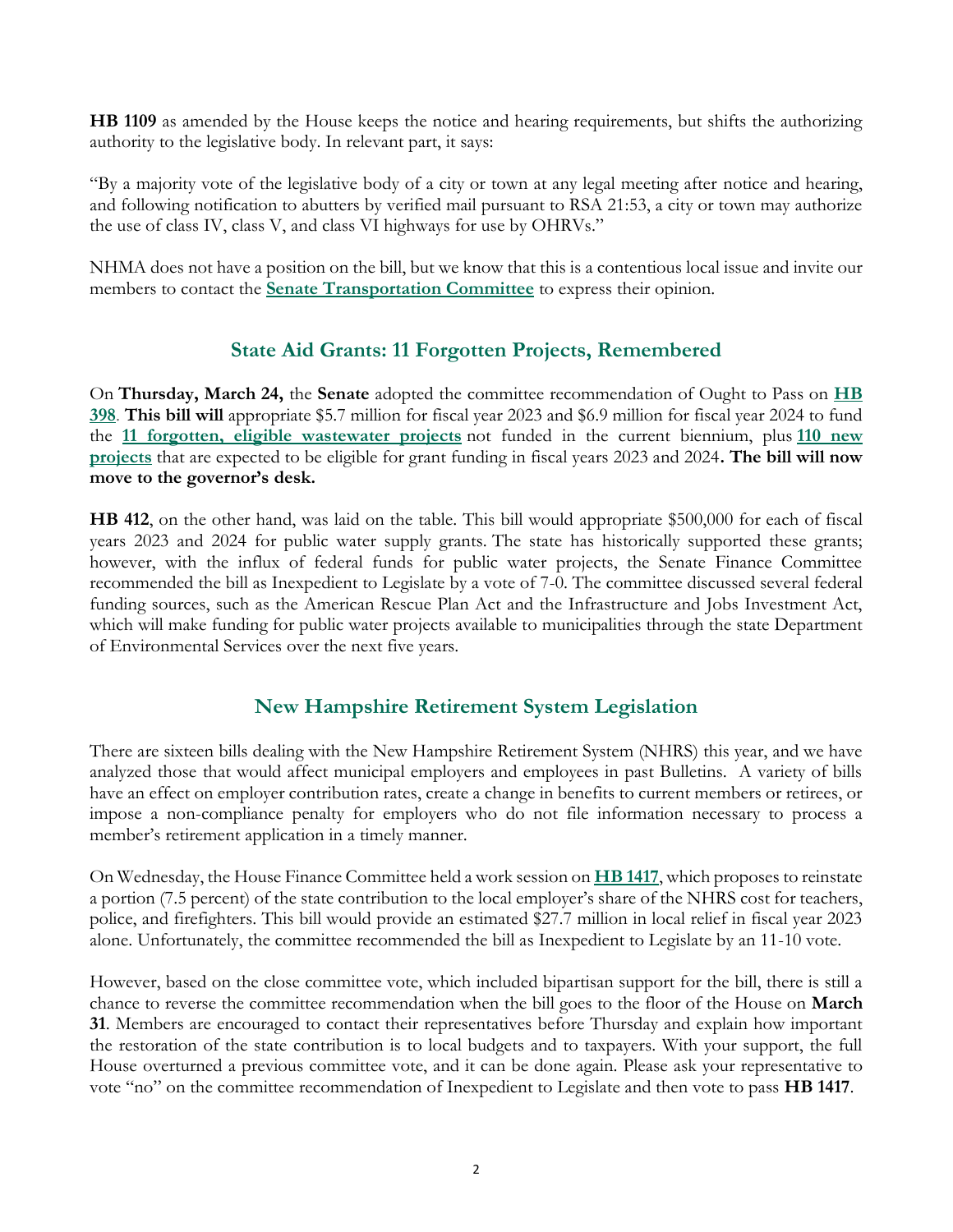**HB 1109** as amended by the House keeps the notice and hearing requirements, but shifts the authorizing authority to the legislative body. In relevant part, it says:

"By a majority vote of the legislative body of a city or town at any legal meeting after notice and hearing, and following notification to abutters by verified mail pursuant to RSA 21:53, a city or town may authorize the use of class IV, class V, and class VI highways for use by OHRVs."

NHMA does not have a position on the bill, but we know that this is a contentious local issue and invite our members to contact the **[Senate Transportation Committee](http://www.gencourt.state.nh.us/senate/committees/committee_details.aspx?cc=34)** to express their opinion.

# **State Aid Grants: 11 Forgotten Projects, Remembered**

On **Thursday, March 24,** the **Senate** adopted the committee recommendation of Ought to Pass on **[HB](http://www.gencourt.state.nh.us/bill_Status/pdf.aspx?id=30060&q=billVersion)  [398](http://www.gencourt.state.nh.us/bill_Status/pdf.aspx?id=30060&q=billVersion)**. **This bill will** appropriate \$5.7 million for fiscal year 2023 and \$6.9 million for fiscal year 2024 to fund the **[11 forgotten, eligible wastewater projects](https://www.nhmunicipal.org/sites/default/files/uploads/legislative-bulletins/sag_prioritizedneedbudgetdetail_11projects_2021-01-04.pdf)** not funded in the current biennium, plus **[110 new](https://www.nhmunicipal.org/sites/default/files/uploads/legislative-bulletins/sag_listhopefulprojects_fy22-23_2021-01-04.pdf)  [projects](https://www.nhmunicipal.org/sites/default/files/uploads/legislative-bulletins/sag_listhopefulprojects_fy22-23_2021-01-04.pdf)** that are expected to be eligible for grant funding in fiscal years 2023 and 2024**. The bill will now move to the governor's desk.** 

**[HB 412](http://www.gencourt.state.nh.us/bill_status/pdf.aspx?id=30062&q=billVersion)**, on the other hand, was laid on the table. This bill would appropriate \$500,000 for each of fiscal years 2023 and 2024 for public water supply grants. The state has historically supported these grants; however, with the influx of federal funds for public water projects, the Senate Finance Committee recommended the bill as Inexpedient to Legislate by a vote of 7-0. The committee discussed several federal funding sources, such as the American Rescue Plan Act and the Infrastructure and Jobs Investment Act, which will make funding for public water projects available to municipalities through the state Department of Environmental Services over the next five years.

# **New Hampshire Retirement System Legislation**

There are sixteen bills dealing with the New Hampshire Retirement System (NHRS) this year, and we have analyzed those that would affect municipal employers and employees in past Bulletins. A variety of bills have an effect on employer contribution rates, create a change in benefits to current members or retirees, or impose a non-compliance penalty for employers who do not file information necessary to process a member's retirement application in a timely manner.

On Wednesday, the House Finance Committee held a work session on **[HB 1417](https://nam04.safelinks.protection.outlook.com/?url=http%3A%2F%2Fwww.gencourt.state.nh.us%2Fbill_status%2Fpdf.aspx%3Fid%3D28309%26q%3DbillVersion&data=04%7C01%7C%7C8bca71785065426dada908da0b6a0057%7C26291d41fe344e6ba3102f5bdf84590c%7C0%7C0%7C637834847155323365%7CUnknown%7CTWFpbGZsb3d8eyJWIjoiMC4wLjAwMDAiLCJQIjoiV2luMzIiLCJBTiI6Ik1haWwiLCJXVCI6Mn0%3D%7C3000&sdata=fHoep4SYdt60swmNr5krhKCYOFRUvAABmfmJ%2Bq4MVOY%3D&reserved=0)**, which proposes to reinstate a portion (7.5 percent) of the state contribution to the local employer's share of the NHRS cost for teachers, police, and firefighters. This bill would provide an estimated \$27.7 million in local relief in fiscal year 2023 alone. Unfortunately, the committee recommended the bill as Inexpedient to Legislate by an 11-10 vote.

However, based on the close committee vote, which included bipartisan support for the bill, there is still a chance to reverse the committee recommendation when the bill goes to the floor of the House on **March 31**. Members are encouraged to contact their representatives before Thursday and explain how important the restoration of the state contribution is to local budgets and to taxpayers. With your support, the full House overturned a previous committee vote, and it can be done again. Please ask your representative to vote "no" on the committee recommendation of Inexpedient to Legislate and then vote to pass **HB 1417**.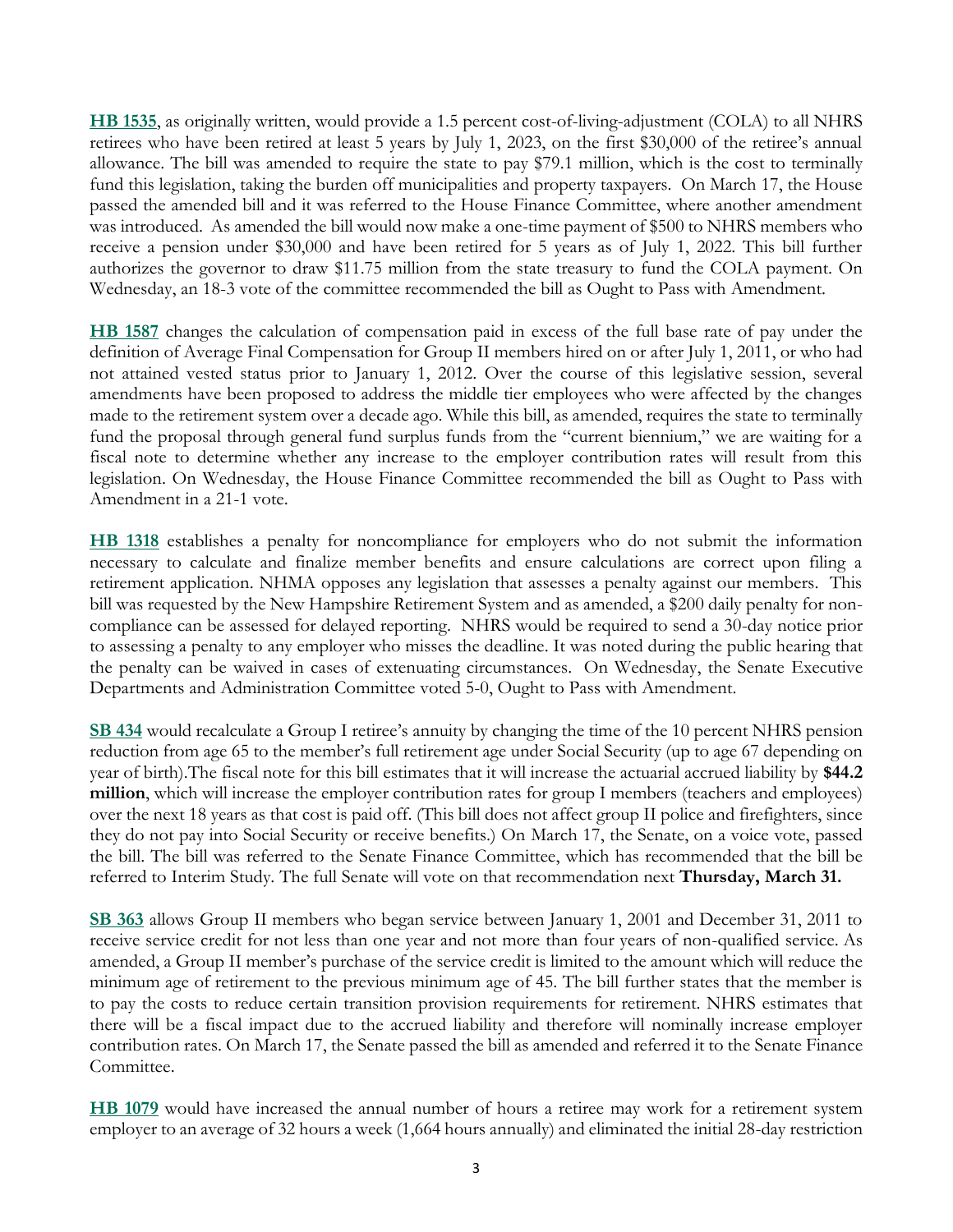**[HB 1535](http://www.gencourt.state.nh.us/bill_status/pdf.aspx?id=33296&q=amendment)**, as originally written, would provide a 1.5 percent cost-of-living-adjustment (COLA) to all NHRS retirees who have been retired at least 5 years by July 1, 2023, on the first \$30,000 of the retiree's annual allowance. The bill was amended to require the state to pay \$79.1 million, which is the cost to terminally fund this legislation, taking the burden off municipalities and property taxpayers. On March 17, the House passed the amended bill and it was referred to the House Finance Committee, where another amendment was introduced. As amended the bill would now make a one-time payment of \$500 to NHRS members who receive a pension under \$30,000 and have been retired for 5 years as of July 1, 2022. This bill further authorizes the governor to draw \$11.75 million from the state treasury to fund the COLA payment. On Wednesday, an 18-3 vote of the committee recommended the bill as Ought to Pass with Amendment.

**[HB 1587](http://www.gencourt.state.nh.us/bill_status/pdf.aspx?id=33360&q=amendment)** changes the calculation of compensation paid in excess of the full base rate of pay under the definition of Average Final Compensation for Group II members hired on or after July 1, 2011, or who had not attained vested status prior to January 1, 2012. Over the course of this legislative session, several amendments have been proposed to address the middle tier employees who were affected by the changes made to the retirement system over a decade ago. While this bill, as amended, requires the state to terminally fund the proposal through general fund surplus funds from the "current biennium," we are waiting for a fiscal note to determine whether any increase to the employer contribution rates will result from this legislation. On Wednesday, the House Finance Committee recommended the bill as Ought to Pass with Amendment in a 21-1 vote.

**[HB 1318](http://www.gencourt.state.nh.us/bill_status/pdf.aspx?id=33501&q=amendment)** establishes a penalty for noncompliance for employers who do not submit the information necessary to calculate and finalize member benefits and ensure calculations are correct upon filing a retirement application. NHMA opposes any legislation that assesses a penalty against our members. This bill was requested by the New Hampshire Retirement System and as amended, a \$200 daily penalty for noncompliance can be assessed for delayed reporting. NHRS would be required to send a 30-day notice prior to assessing a penalty to any employer who misses the deadline. It was noted during the public hearing that the penalty can be waived in cases of extenuating circumstances. On Wednesday, the Senate Executive Departments and Administration Committee voted 5-0, Ought to Pass with Amendment.

**[SB 434](http://www.gencourt.state.nh.us/bill_status/pdf.aspx?id=29898&q=billVersion)** would recalculate a Group I retiree's annuity by changing the time of the 10 percent NHRS pension reduction from age 65 to the member's full retirement age under Social Security (up to age 67 depending on year of birth).The fiscal note for this bill estimates that it will increase the actuarial accrued liability by **\$44.2 million**, which will increase the employer contribution rates for group I members (teachers and employees) over the next 18 years as that cost is paid off. (This bill does not affect group II police and firefighters, since they do not pay into Social Security or receive benefits.) On March 17, the Senate, on a voice vote, passed the bill. The bill was referred to the Senate Finance Committee, which has recommended that the bill be referred to Interim Study. The full Senate will vote on that recommendation next **Thursday, March 31.**

**[SB 363](http://www.gencourt.state.nh.us/bill_status/pdf.aspx?id=33327&q=billVersion)** allows Group II members who began service between January 1, 2001 and December 31, 2011 to receive service credit for not less than one year and not more than four years of non-qualified service. As amended, a Group II member's purchase of the service credit is limited to the amount which will reduce the minimum age of retirement to the previous minimum age of 45. The bill further states that the member is to pay the costs to reduce certain transition provision requirements for retirement. NHRS estimates that there will be a fiscal impact due to the accrued liability and therefore will nominally increase employer contribution rates. On March 17, the Senate passed the bill as amended and referred it to the Senate Finance Committee.

**[HB 1079](http://www.gencourt.state.nh.us/bill_status/pdf.aspx?id=26110&q=billVersion)** would have increased the annual number of hours a retiree may work for a retirement system employer to an average of 32 hours a week (1,664 hours annually) and eliminated the initial 28-day restriction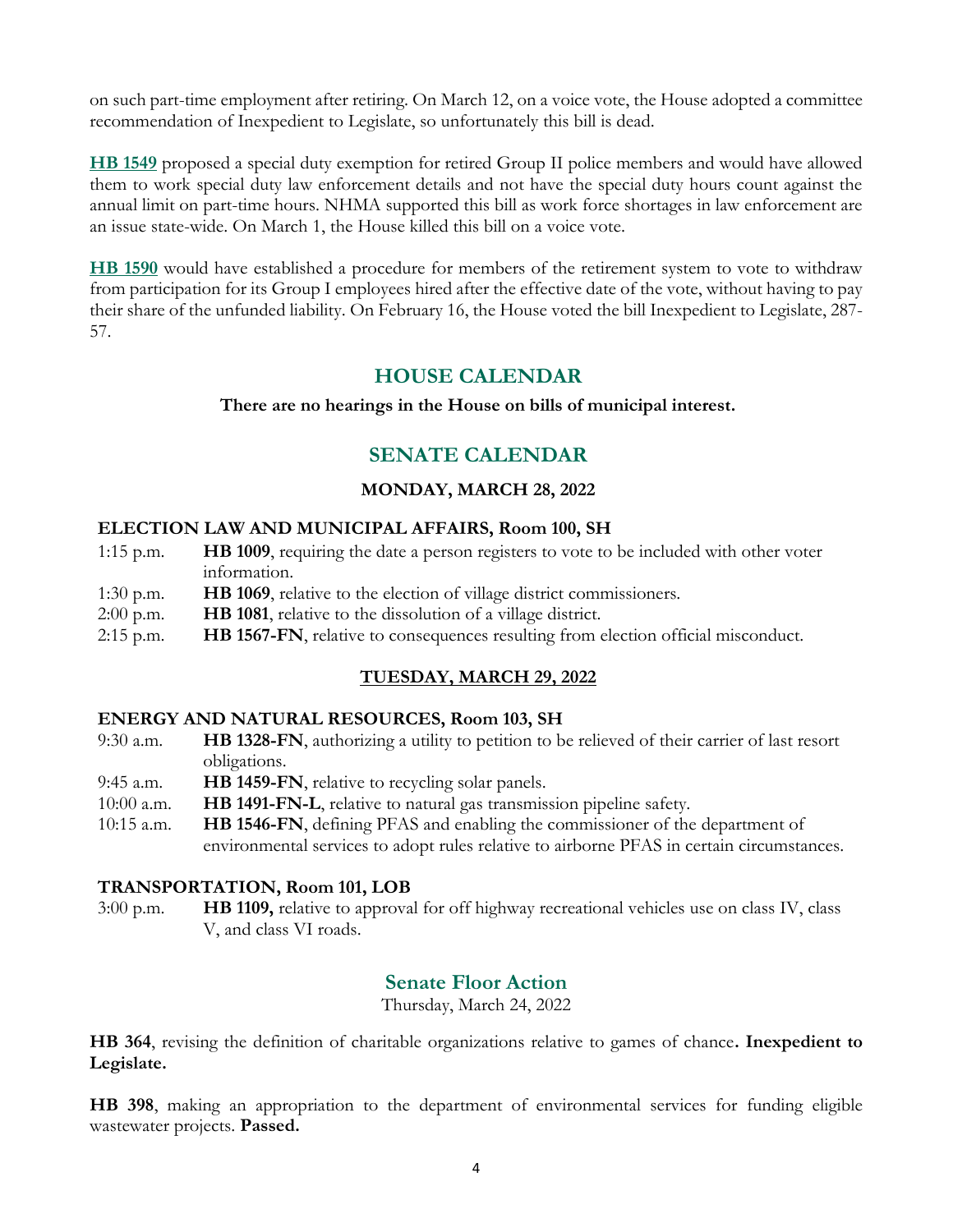on such part-time employment after retiring. On March 12, on a voice vote, the House adopted a committee recommendation of Inexpedient to Legislate, so unfortunately this bill is dead.

**[HB 1549](http://www.gencourt.state.nh.us/bill_status/pdf.aspx?id=28872&q=billVersion)** proposed a special duty exemption for retired Group II police members and would have allowed them to work special duty law enforcement details and not have the special duty hours count against the annual limit on part-time hours. NHMA supported this bill as work force shortages in law enforcement are an issue state-wide. On March 1, the House killed this bill on a voice vote.

**[HB 1590](http://www.gencourt.state.nh.us/bill_status/pdf.aspx?id=29391&q=billVersion)** would have established a procedure for members of the retirement system to vote to withdraw from participation for its Group I employees hired after the effective date of the vote, without having to pay their share of the unfunded liability. On February 16, the House voted the bill Inexpedient to Legislate, 287- 57.

# **HOUSE CALENDAR**

#### **There are no hearings in the House on bills of municipal interest.**

# **SENATE CALENDAR**

### **MONDAY, MARCH 28, 2022**

#### **ELECTION LAW AND MUNICIPAL AFFAIRS, Room 100, SH**

- 1:15 p.m. **HB 1009**, requiring the date a person registers to vote to be included with other voter information.
- 1:30 p.m. **HB 1069**, relative to the election of village district commissioners.
- 2:00 p.m. **HB 1081**, relative to the dissolution of a village district.
- 2:15 p.m. **HB 1567-FN**, relative to consequences resulting from election official misconduct.

## **TUESDAY, MARCH 29, 2022**

#### **ENERGY AND NATURAL RESOURCES, Room 103, SH**

- 9:30 a.m. **HB 1328-FN**, authorizing a utility to petition to be relieved of their carrier of last resort obligations.
- 9:45 a.m. **HB 1459-FN**, relative to recycling solar panels.
- 10:00 a.m. **HB 1491-FN-L**, relative to natural gas transmission pipeline safety.
- 10:15 a.m. **HB 1546-FN**, defining PFAS and enabling the commissioner of the department of environmental services to adopt rules relative to airborne PFAS in certain circumstances.

#### **TRANSPORTATION, Room 101, LOB**

3:00 p.m. **HB 1109,** relative to approval for off highway recreational vehicles use on class IV, class V, and class VI roads.

# **Senate Floor Action**

Thursday, March 24, 2022

**HB 364**, revising the definition of charitable organizations relative to games of chance**. Inexpedient to Legislate.**

**HB 398**, making an appropriation to the department of environmental services for funding eligible wastewater projects. **Passed.**